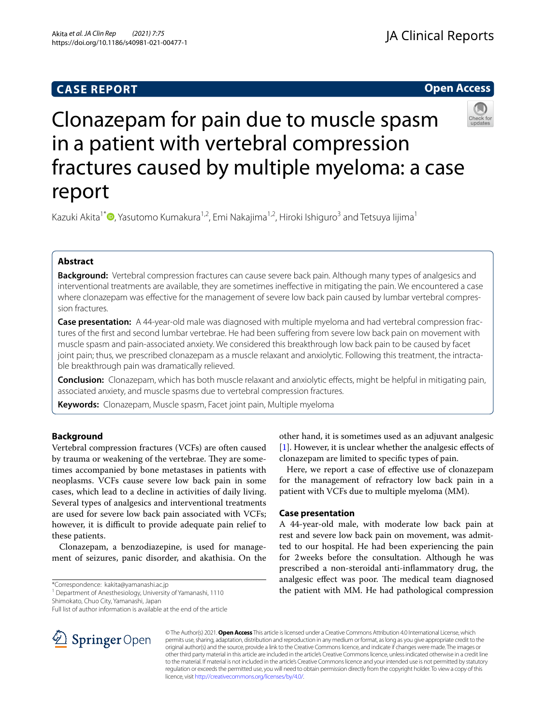## **CASE REPORT**

**Open Access**



# Clonazepam for pain due to muscle spasm in a patient with vertebral compression fractures caused by multiple myeloma: a case report

Kazuki Akita<sup>1[\\*](http://orcid.org/0000-0002-6493-7471)</sup> , Yasutomo Kumakura<sup>1,2</sup>, Emi Nakajima<sup>1,2</sup>, Hiroki Ishiguro<sup>3</sup> and Tetsuya lijima<sup>1</sup>

## **Abstract**

**Background:** Vertebral compression fractures can cause severe back pain. Although many types of analgesics and interventional treatments are available, they are sometimes inefective in mitigating the pain. We encountered a case where clonazepam was efective for the management of severe low back pain caused by lumbar vertebral compression fractures.

**Case presentation:** A 44-year-old male was diagnosed with multiple myeloma and had vertebral compression fractures of the frst and second lumbar vertebrae. He had been sufering from severe low back pain on movement with muscle spasm and pain-associated anxiety. We considered this breakthrough low back pain to be caused by facet joint pain; thus, we prescribed clonazepam as a muscle relaxant and anxiolytic. Following this treatment, the intractable breakthrough pain was dramatically relieved.

**Conclusion:** Clonazepam, which has both muscle relaxant and anxiolytic efects, might be helpful in mitigating pain, associated anxiety, and muscle spasms due to vertebral compression fractures.

**Keywords:** Clonazepam, Muscle spasm, Facet joint pain, Multiple myeloma

## **Background**

Vertebral compression fractures (VCFs) are often caused by trauma or weakening of the vertebrae. They are sometimes accompanied by bone metastases in patients with neoplasms. VCFs cause severe low back pain in some cases, which lead to a decline in activities of daily living. Several types of analgesics and interventional treatments are used for severe low back pain associated with VCFs; however, it is difficult to provide adequate pain relief to these patients.

Clonazepam, a benzodiazepine, is used for management of seizures, panic disorder, and akathisia. On the

\*Correspondence: kakita@yamanashi.ac.jp

<sup>1</sup> Department of Anesthesiology, University of Yamanashi, 1110

Shimokato, Chuo City, Yamanashi, Japan

Full list of author information is available at the end of the article



other hand, it is sometimes used as an adjuvant analgesic [[1\]](#page-2-0). However, it is unclear whether the analgesic effects of clonazepam are limited to specifc types of pain.

Here, we report a case of efective use of clonazepam for the management of refractory low back pain in a patient with VCFs due to multiple myeloma (MM).

## **Case presentation**

A 44-year-old male, with moderate low back pain at rest and severe low back pain on movement, was admitted to our hospital. He had been experiencing the pain for 2weeks before the consultation. Although he was prescribed a non-steroidal anti-infammatory drug, the analgesic effect was poor. The medical team diagnosed the patient with MM. He had pathological compression

© The Author(s) 2021. **Open Access** This article is licensed under a Creative Commons Attribution 4.0 International License, which permits use, sharing, adaptation, distribution and reproduction in any medium or format, as long as you give appropriate credit to the original author(s) and the source, provide a link to the Creative Commons licence, and indicate if changes were made. The images or other third party material in this article are included in the article's Creative Commons licence, unless indicated otherwise in a credit line to the material. If material is not included in the article's Creative Commons licence and your intended use is not permitted by statutory regulation or exceeds the permitted use, you will need to obtain permission directly from the copyright holder. To view a copy of this licence, visit [http://creativecommons.org/licenses/by/4.0/.](http://creativecommons.org/licenses/by/4.0/)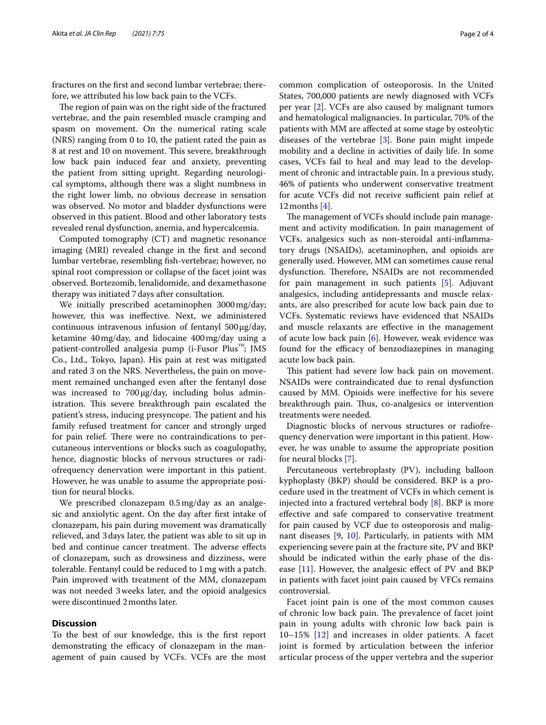fractures on the frst and second lumbar vertebrae; therefore, we attributed his low back pain to the VCFs.

The region of pain was on the right side of the fractured vertebrae, and the pain resembled muscle cramping and spasm on movement. On the numerical rating scale (NRS) ranging from 0 to 10, the patient rated the pain as 8 at rest and 10 on movement. This severe, breakthrough low back pain induced fear and anxiety, preventing the patient from sitting upright. Regarding neurological symptoms, although there was a slight numbness in the right lower limb, no obvious decrease in sensation was observed. No motor and bladder dysfunctions were observed in this patient. Blood and other laboratory tests revealed renal dysfunction, anemia, and hypercalcemia.

Computed tomography (CT) and magnetic resonance imaging (MRI) revealed change in the frst and second lumbar vertebrae, resembling fsh-vertebrae; however, no spinal root compression or collapse of the facet joint was observed. Bortezomib, lenalidomide, and dexamethasone therapy was initiated 7days after consultation.

We initially prescribed acetaminophen 3000mg/day; however, this was inefective. Next, we administered continuous intravenous infusion of fentanyl  $500 \mu g/day$ , ketamine 40mg/day, and lidocaine 400mg/day using a patient-controlled analgesia pump (i-Fusor Plus™; JMS Co., Ltd., Tokyo, Japan). His pain at rest was mitigated and rated 3 on the NRS. Nevertheless, the pain on movement remained unchanged even after the fentanyl dose was increased to 700μg/day, including bolus administration. This severe breakthrough pain escalated the patient's stress, inducing presyncope. The patient and his family refused treatment for cancer and strongly urged for pain relief. There were no contraindications to percutaneous interventions or blocks such as coagulopathy, hence, diagnostic blocks of nervous structures or radiofrequency denervation were important in this patient. However, he was unable to assume the appropriate position for neural blocks.

We prescribed clonazepam 0.5mg/day as an analgesic and anxiolytic agent. On the day after frst intake of clonazepam, his pain during movement was dramatically relieved, and 3days later, the patient was able to sit up in bed and continue cancer treatment. The adverse effects of clonazepam, such as drowsiness and dizziness, were tolerable. Fentanyl could be reduced to 1mg with a patch. Pain improved with treatment of the MM, clonazepam was not needed 3weeks later, and the opioid analgesics were discontinued 2months later.

### **Discussion**

To the best of our knowledge, this is the frst report demonstrating the efficacy of clonazepam in the management of pain caused by VCFs. VCFs are the most common complication of osteoporosis. In the United States, 700,000 patients are newly diagnosed with VCFs per year [\[2](#page-2-1)]. VCFs are also caused by malignant tumors and hematological malignancies. In particular, 70% of the patients with MM are afected at some stage by osteolytic diseases of the vertebrae [\[3](#page-2-2)]. Bone pain might impede mobility and a decline in activities of daily life. In some cases, VCFs fail to heal and may lead to the development of chronic and intractable pain. In a previous study, 46% of patients who underwent conservative treatment for acute VCFs did not receive sufficient pain relief at 12months [\[4](#page-2-3)].

The management of VCFs should include pain management and activity modifcation. In pain management of VCFs, analgesics such as non-steroidal anti-infammatory drugs (NSAIDs), acetaminophen, and opioids are generally used. However, MM can sometimes cause renal dysfunction. Therefore, NSAIDs are not recommended for pain management in such patients [[5\]](#page-2-4). Adjuvant analgesics, including antidepressants and muscle relaxants, are also prescribed for acute low back pain due to VCFs. Systematic reviews have evidenced that NSAIDs and muscle relaxants are efective in the management of acute low back pain [\[6\]](#page-2-5). However, weak evidence was found for the efficacy of benzodiazepines in managing acute low back pain.

This patient had severe low back pain on movement. NSAIDs were contraindicated due to renal dysfunction caused by MM. Opioids were inefective for his severe breakthrough pain. Thus, co-analgesics or intervention treatments were needed.

Diagnostic blocks of nervous structures or radiofrequency denervation were important in this patient. However, he was unable to assume the appropriate position for neural blocks [[7\]](#page-2-6).

Percutaneous vertebroplasty (PV), including balloon kyphoplasty (BKP) should be considered. BKP is a procedure used in the treatment of VCFs in which cement is injected into a fractured vertebral body [\[8](#page-2-7)]. BKP is more efective and safe compared to conservative treatment for pain caused by VCF due to osteoporosis and malignant diseases [\[9](#page-3-0), [10\]](#page-3-1). Particularly, in patients with MM experiencing severe pain at the fracture site, PV and BKP should be indicated within the early phase of the disease  $[11]$  $[11]$ . However, the analgesic effect of PV and BKP in patients with facet joint pain caused by VFCs remains controversial.

Facet joint pain is one of the most common causes of chronic low back pain. The prevalence of facet joint pain in young adults with chronic low back pain is 10–15% [[12\]](#page-3-3) and increases in older patients. A facet joint is formed by articulation between the inferior articular process of the upper vertebra and the superior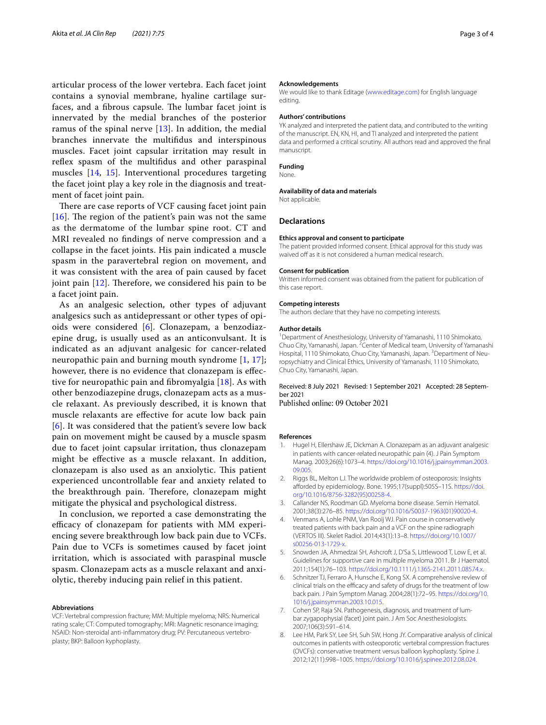articular process of the lower vertebra. Each facet joint contains a synovial membrane, hyaline cartilage surfaces, and a fibrous capsule. The lumbar facet joint is innervated by the medial branches of the posterior ramus of the spinal nerve  $[13]$  $[13]$  $[13]$ . In addition, the medial branches innervate the multifdus and interspinous muscles. Facet joint capsular irritation may result in refex spasm of the multifdus and other paraspinal muscles [\[14](#page-3-5), [15\]](#page-3-6). Interventional procedures targeting the facet joint play a key role in the diagnosis and treatment of facet joint pain.

There are case reports of VCF causing facet joint pain [[16](#page-3-7)]. The region of the patient's pain was not the same as the dermatome of the lumbar spine root. CT and MRI revealed no fndings of nerve compression and a collapse in the facet joints. His pain indicated a muscle spasm in the paravertebral region on movement, and it was consistent with the area of pain caused by facet joint pain  $[12]$  $[12]$  $[12]$ . Therefore, we considered his pain to be a facet joint pain.

As an analgesic selection, other types of adjuvant analgesics such as antidepressant or other types of opioids were considered [[6\]](#page-2-5). Clonazepam, a benzodiazepine drug, is usually used as an anticonvulsant. It is indicated as an adjuvant analgesic for cancer-related neuropathic pain and burning mouth syndrome [[1,](#page-2-0) [17\]](#page-3-8); however, there is no evidence that clonazepam is efective for neuropathic pain and fbromyalgia [[18](#page-3-9)]. As with other benzodiazepine drugs, clonazepam acts as a muscle relaxant. As previously described, it is known that muscle relaxants are efective for acute low back pain [[6](#page-2-5)]. It was considered that the patient's severe low back pain on movement might be caused by a muscle spasm due to facet joint capsular irritation, thus clonazepam might be efective as a muscle relaxant. In addition, clonazepam is also used as an anxiolytic. This patient experienced uncontrollable fear and anxiety related to the breakthrough pain. Therefore, clonazepam might mitigate the physical and psychological distress.

In conclusion, we reported a case demonstrating the efficacy of clonazepam for patients with MM experiencing severe breakthrough low back pain due to VCFs. Pain due to VCFs is sometimes caused by facet joint irritation, which is associated with paraspinal muscle spasm. Clonazepam acts as a muscle relaxant and anxiolytic, thereby inducing pain relief in this patient.

#### **Abbreviations**

VCF: Vertebral compression fracture; MM: Multiple myeloma; NRS: Numerical rating scale; CT: Computed tomography; MRI: Magnetic resonance imaging; NSAID: Non-steroidal anti-infammatory drug; PV: Percutaneous vertebroplasty; BKP: Balloon kyphoplasty.

#### **Acknowledgements**

We would like to thank Editage ([www.editage.com\)](http://www.editage.com) for English language editing.

#### **Authors' contributions**

YK analyzed and interpreted the patient data, and contributed to the writing of the manuscript. EN, KN, HI, and TI analyzed and interpreted the patient data and performed a critical scrutiny. All authors read and approved the fnal manuscript.

#### **Funding**

None.

#### **Availability of data and materials**

Not applicable.

#### **Declarations**

#### **Ethics approval and consent to participate**

The patient provided informed consent. Ethical approval for this study was waived off as it is not considered a human medical research.

#### **Consent for publication**

Written informed consent was obtained from the patient for publication of this case report.

#### **Competing interests**

The authors declare that they have no competing interests.

#### **Author details**

<sup>1</sup> Department of Anesthesiology, University of Yamanashi, 1110 Shimokato, Chuo City, Yamanashi, Japan. <sup>2</sup> Center of Medical team, University of Yamanashi Hospital, 1110 Shimokato, Chuo City, Yamanashi, Japan. <sup>3</sup> Department of Neuropsychiatry and Clinical Ethics, University of Yamanashi, 1110 Shimokato, Chuo City, Yamanashi, Japan.

#### Received: 8 July 2021 Revised: 1 September 2021 Accepted: 28 September 2021

Published online: 09 October 2021

#### **References**

- <span id="page-2-0"></span>1. Hugel H, Ellershaw JE, Dickman A. Clonazepam as an adjuvant analgesic in patients with cancer-related neuropathic pain (4). J Pain Symptom Manag. 2003;26(6):1073–4. [https://doi.org/10.1016/j.jpainsymman.2003.](https://doi.org/10.1016/j.jpainsymman.2003.09.005) [09.005](https://doi.org/10.1016/j.jpainsymman.2003.09.005).
- <span id="page-2-1"></span>2. Riggs BL, Melton LJ. The worldwide problem of osteoporosis: Insights aforded by epidemiology. Bone. 1995;17(suppl):505S–11S. [https://doi.](https://doi.org/10.1016/8756-3282(95)00258-4) [org/10.1016/8756-3282\(95\)00258-4](https://doi.org/10.1016/8756-3282(95)00258-4).
- <span id="page-2-2"></span>3. Callander NS, Roodman GD. Myeloma bone disease. Semin Hematol. 2001;38(3):276–85. [https://doi.org/10.1016/S0037-1963\(01\)90020-4](https://doi.org/10.1016/S0037-1963(01)90020-4).
- <span id="page-2-3"></span>Venmans A, Lohle PNM, Van Rooij WJ. Pain course in conservatively treated patients with back pain and a VCF on the spine radiograph (VERTOS III). Skelet Radiol. 2014;43(1):13–8. [https://doi.org/10.1007/](https://doi.org/10.1007/s00256-013-1729-x) [s00256-013-1729-x](https://doi.org/10.1007/s00256-013-1729-x).
- <span id="page-2-4"></span>5. Snowden JA, Ahmedzai SH, Ashcroft J, D'Sa S, Littlewood T, Low E, et al. Guidelines for supportive care in multiple myeloma 2011. Br J Haematol. 2011;154(1):76–103. [https://doi.org/10.1111/j.1365-2141.2011.08574.x.](https://doi.org/10.1111/j.1365-2141.2011.08574.x)
- <span id="page-2-5"></span>6. Schnitzer TJ, Ferraro A, Hunsche E, Kong SX. A comprehensive review of clinical trials on the efficacy and safety of drugs for the treatment of low back pain. J Pain Symptom Manag. 2004;28(1):72–95. [https://doi.org/10.](https://doi.org/10.1016/j.jpainsymman.2003.10.015) [1016/j.jpainsymman.2003.10.015](https://doi.org/10.1016/j.jpainsymman.2003.10.015).
- <span id="page-2-6"></span>7. Cohen SP, Raja SN. Pathogenesis, diagnosis, and treatment of lumbar zygapophysial (facet) joint pain. J Am Soc Anesthesiologists. 2007;106(3):591–614.
- <span id="page-2-7"></span>8. Lee HM, Park SY, Lee SH, Suh SW, Hong JY. Comparative analysis of clinical outcomes in patients with osteoporotic vertebral compression fractures (OVCFs): conservative treatment versus balloon kyphoplasty. Spine J. 2012;12(11):998–1005. <https://doi.org/10.1016/j.spinee.2012.08.024>.